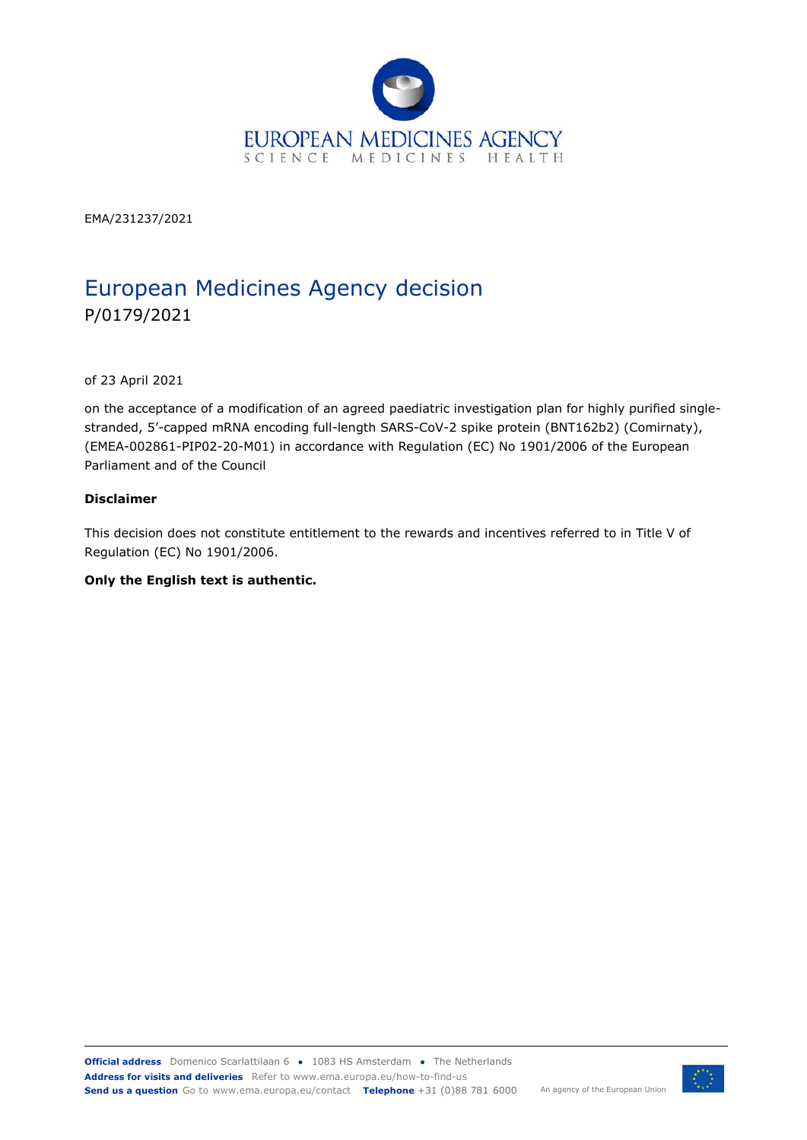

EMA/231237/2021

# European Medicines Agency decision P/0179/2021

of 23 April 2021

on the acceptance of a modification of an agreed paediatric investigation plan for highly purified singlestranded, 5'-capped mRNA encoding full-length SARS-CoV-2 spike protein (BNT162b2) (Comirnaty), (EMEA-002861-PIP02-20-M01) in accordance with Regulation (EC) No 1901/2006 of the European Parliament and of the Council

#### **Disclaimer**

This decision does not constitute entitlement to the rewards and incentives referred to in Title V of Regulation (EC) No 1901/2006.

#### **Only the English text is authentic.**

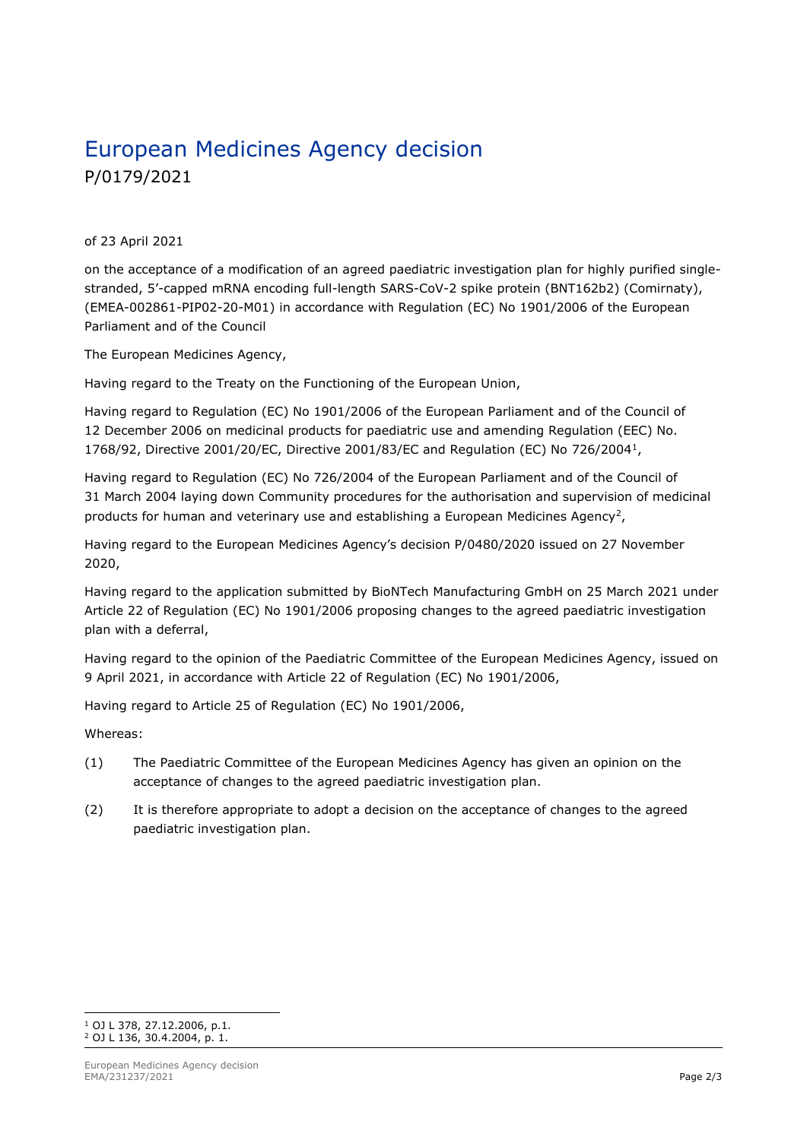# European Medicines Agency decision P/0179/2021

#### of 23 April 2021

on the acceptance of a modification of an agreed paediatric investigation plan for highly purified singlestranded, 5'-capped mRNA encoding full-length SARS-CoV-2 spike protein (BNT162b2) (Comirnaty), (EMEA-002861-PIP02-20-M01) in accordance with Regulation (EC) No 1901/2006 of the European Parliament and of the Council

The European Medicines Agency,

Having regard to the Treaty on the Functioning of the European Union,

Having regard to Regulation (EC) No 1901/2006 of the European Parliament and of the Council of 12 December 2006 on medicinal products for paediatric use and amending Regulation (EEC) No. 1768/92, Directive 2001/20/EC, Directive 2001/83/EC and Regulation (EC) No 726/20041,

Having regard to Regulation (EC) No 726/2004 of the European Parliament and of the Council of 31 March 2004 laying down Community procedures for the authorisation and supervision of medicinal products for human and veterinary use and establishing a European Medicines Agency<sup>2</sup>,

Having regard to the European Medicines Agency's decision P/0480/2020 issued on 27 November 2020,

Having regard to the application submitted by BioNTech Manufacturing GmbH on 25 March 2021 under Article 22 of Regulation (EC) No 1901/2006 proposing changes to the agreed paediatric investigation plan with a deferral,

Having regard to the opinion of the Paediatric Committee of the European Medicines Agency, issued on 9 April 2021, in accordance with Article 22 of Regulation (EC) No 1901/2006,

Having regard to Article 25 of Regulation (EC) No 1901/2006,

Whereas:

- (1) The Paediatric Committee of the European Medicines Agency has given an opinion on the acceptance of changes to the agreed paediatric investigation plan.
- (2) It is therefore appropriate to adopt a decision on the acceptance of changes to the agreed paediatric investigation plan.

<sup>1</sup> OJ L 378, 27.12.2006, p.1. <sup>2</sup> OJ L 136, 30.4.2004, p. 1.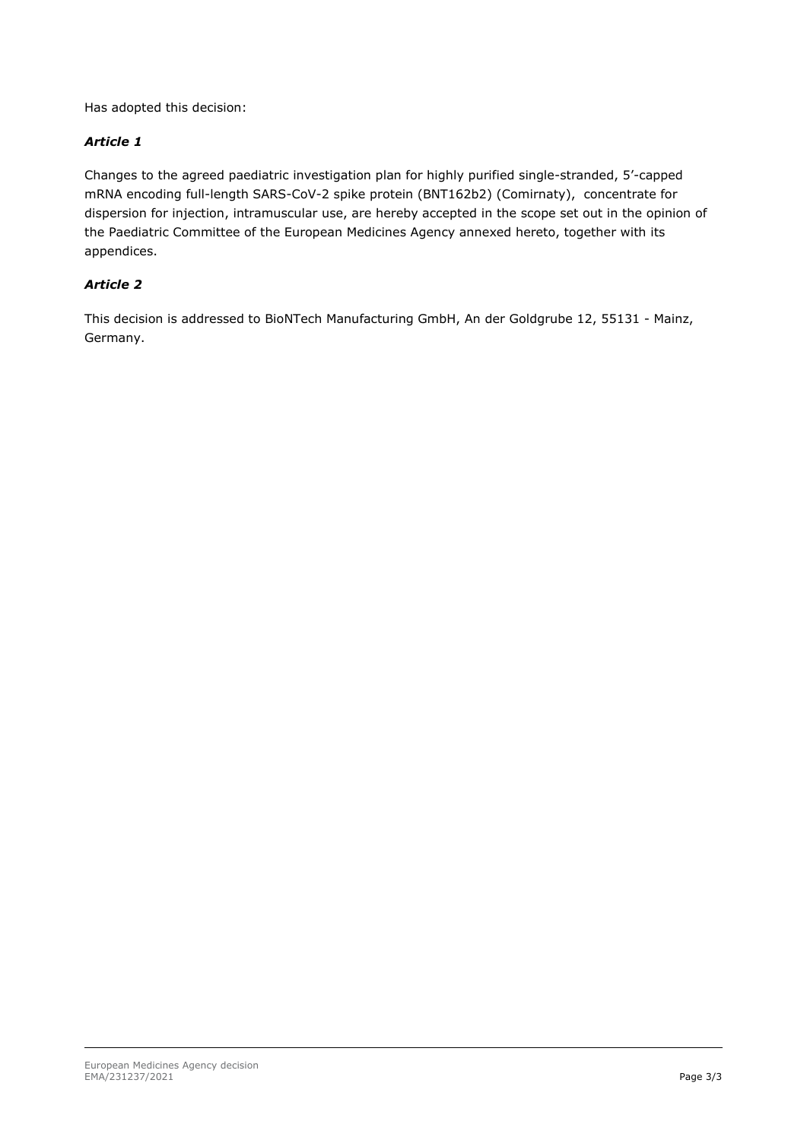Has adopted this decision:

### *Article 1*

Changes to the agreed paediatric investigation plan for highly purified single-stranded, 5'-capped mRNA encoding full-length SARS-CoV-2 spike protein (BNT162b2) (Comirnaty), concentrate for dispersion for injection, intramuscular use, are hereby accepted in the scope set out in the opinion of the Paediatric Committee of the European Medicines Agency annexed hereto, together with its appendices.

### *Article 2*

This decision is addressed to BioNTech Manufacturing GmbH, An der Goldgrube 12, 55131 - Mainz, Germany.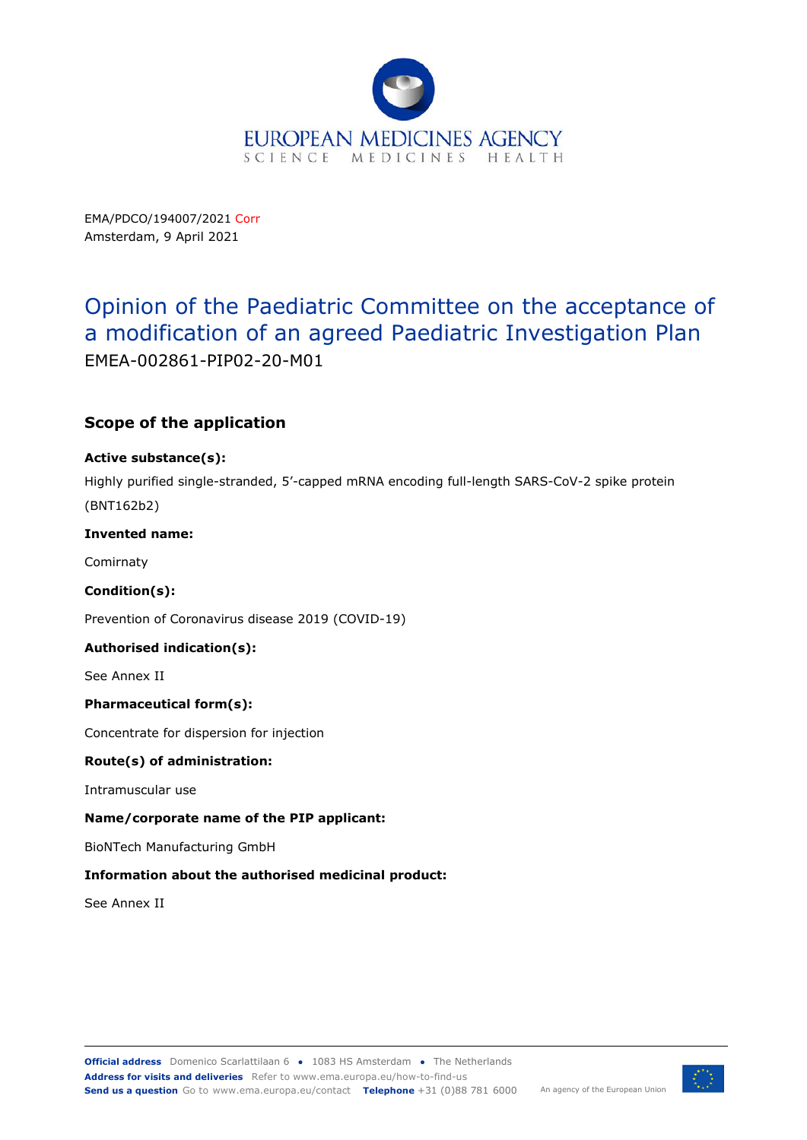

EMA/PDCO/194007/2021 Corr Amsterdam, 9 April 2021

# Opinion of the Paediatric Committee on the acceptance of a modification of an agreed Paediatric Investigation Plan EMEA-002861-PIP02-20-M01

# **Scope of the application**

#### **Active substance(s):**

Highly purified single-stranded, 5'-capped mRNA encoding full-length SARS-CoV-2 spike protein (BNT162b2)

#### **Invented name:**

Comirnaty

#### **Condition(s):**

Prevention of Coronavirus disease 2019 (COVID-19)

#### **Authorised indication(s):**

See Annex II

#### **Pharmaceutical form(s):**

Concentrate for dispersion for injection

#### **Route(s) of administration:**

Intramuscular use

#### **Name/corporate name of the PIP applicant:**

BioNTech Manufacturing GmbH

#### **Information about the authorised medicinal product:**

See Annex II

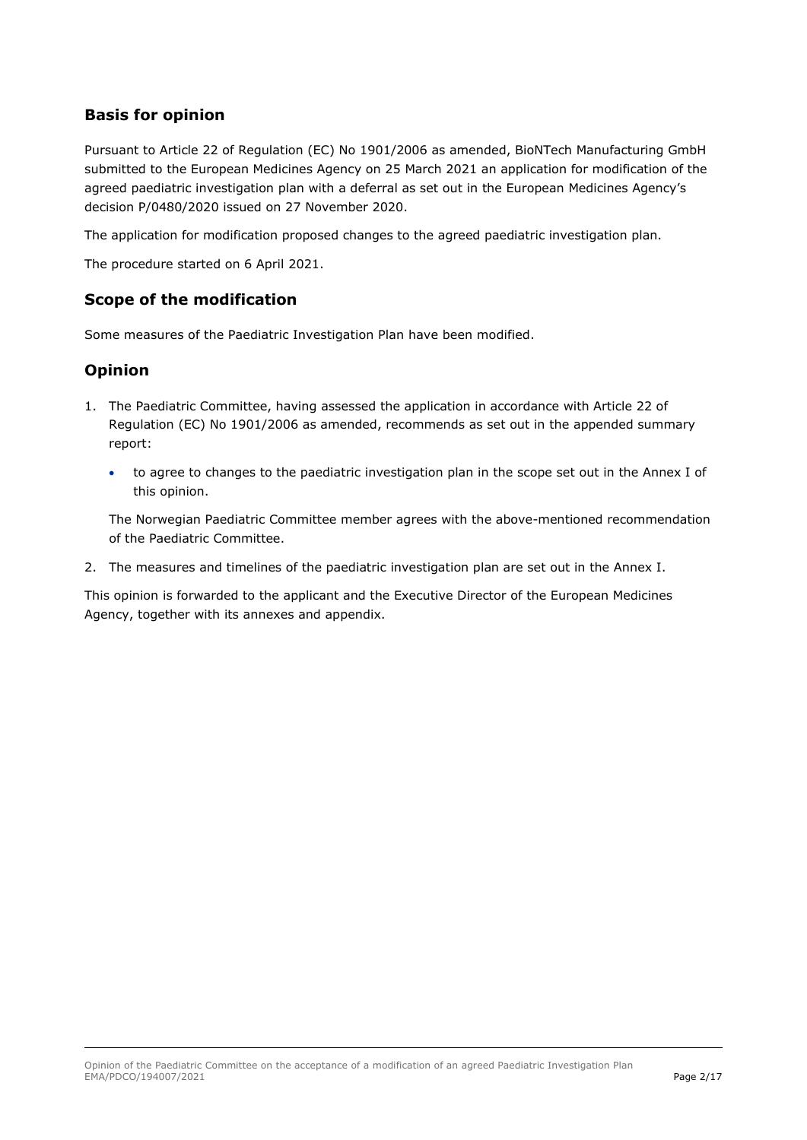## **Basis for opinion**

Pursuant to Article 22 of Regulation (EC) No 1901/2006 as amended, BioNTech Manufacturing GmbH submitted to the European Medicines Agency on 25 March 2021 an application for modification of the agreed paediatric investigation plan with a deferral as set out in the European Medicines Agency's decision P/0480/2020 issued on 27 November 2020.

The application for modification proposed changes to the agreed paediatric investigation plan.

The procedure started on 6 April 2021.

### **Scope of the modification**

Some measures of the Paediatric Investigation Plan have been modified.

### **Opinion**

- 1. The Paediatric Committee, having assessed the application in accordance with Article 22 of Regulation (EC) No 1901/2006 as amended, recommends as set out in the appended summary report:
	- to agree to changes to the paediatric investigation plan in the scope set out in the Annex I of this opinion.

The Norwegian Paediatric Committee member agrees with the above-mentioned recommendation of the Paediatric Committee.

2. The measures and timelines of the paediatric investigation plan are set out in the Annex I.

This opinion is forwarded to the applicant and the Executive Director of the European Medicines Agency, together with its annexes and appendix.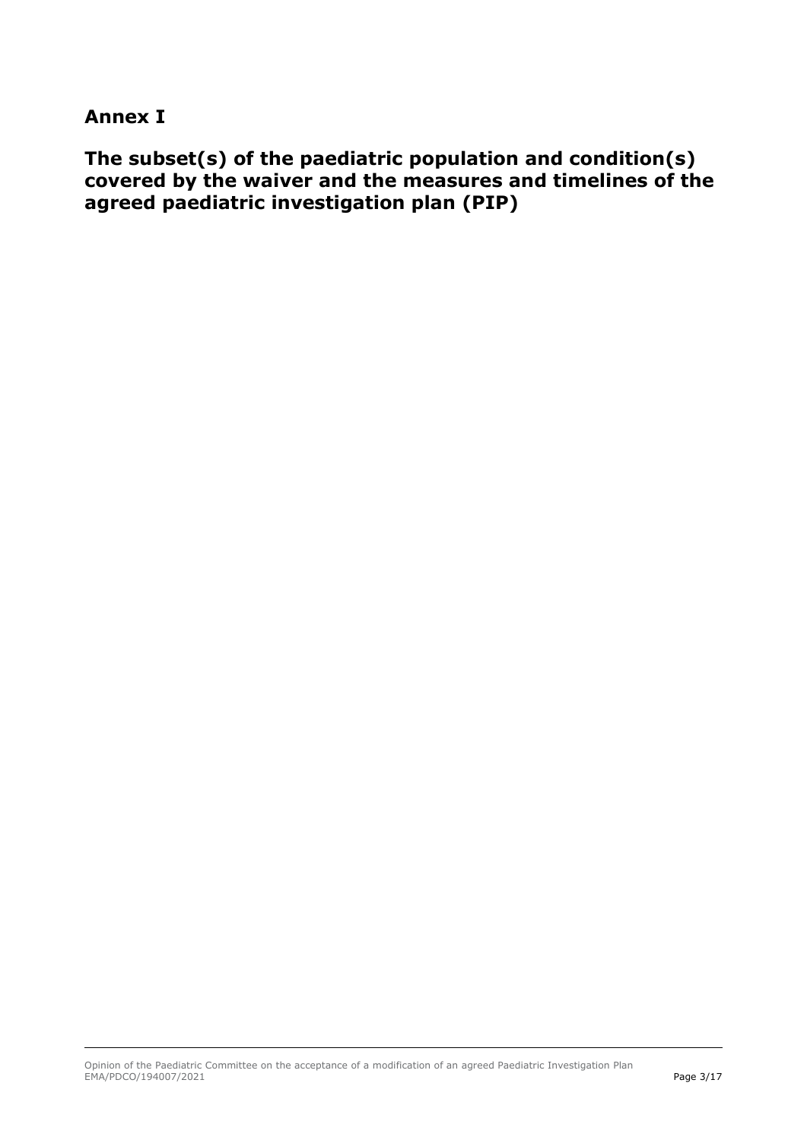# **Annex I**

**The subset(s) of the paediatric population and condition(s) covered by the waiver and the measures and timelines of the agreed paediatric investigation plan (PIP)**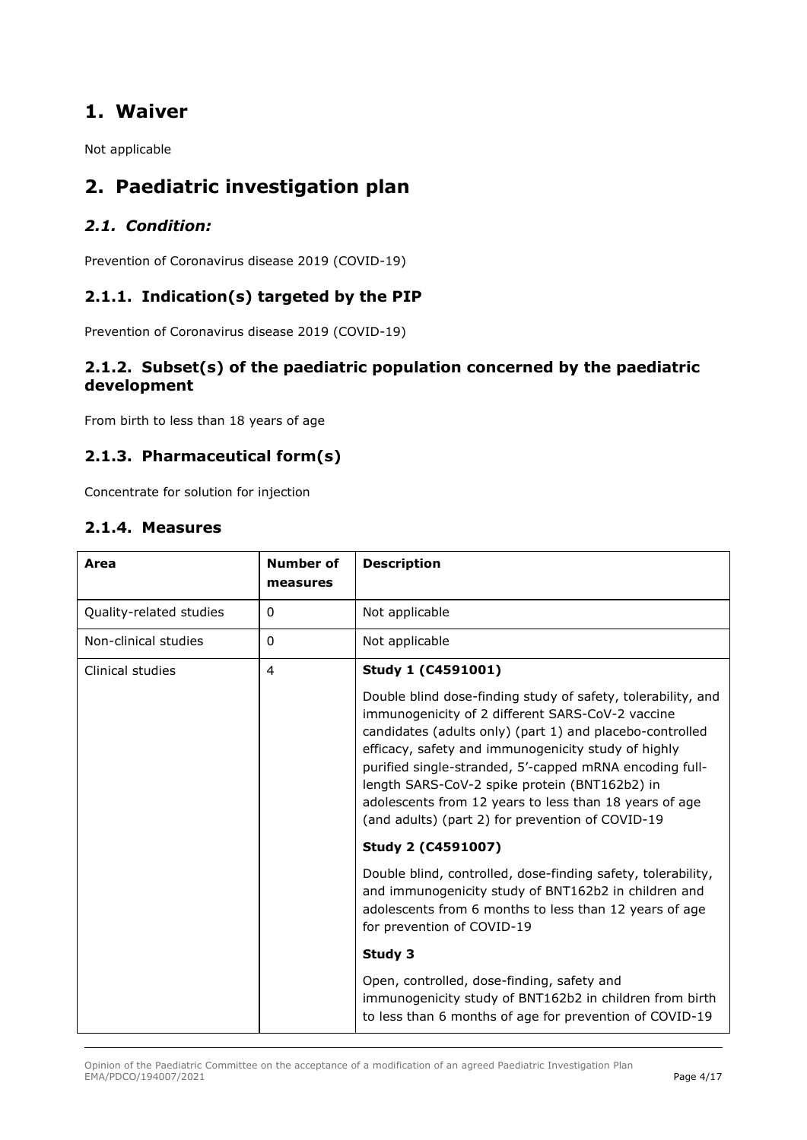# **1. Waiver**

Not applicable

# **2. Paediatric investigation plan**

# *2.1. Condition:*

Prevention of Coronavirus disease 2019 (COVID-19)

# **2.1.1. Indication(s) targeted by the PIP**

Prevention of Coronavirus disease 2019 (COVID-19)

### **2.1.2. Subset(s) of the paediatric population concerned by the paediatric development**

From birth to less than 18 years of age

### **2.1.3. Pharmaceutical form(s)**

Concentrate for solution for injection

## **2.1.4. Measures**

| Area                    | Number of<br>measures | <b>Description</b>                                                                                                                                                                                                                                                                                                                                                                                                                                            |
|-------------------------|-----------------------|---------------------------------------------------------------------------------------------------------------------------------------------------------------------------------------------------------------------------------------------------------------------------------------------------------------------------------------------------------------------------------------------------------------------------------------------------------------|
| Quality-related studies | 0                     | Not applicable                                                                                                                                                                                                                                                                                                                                                                                                                                                |
| Non-clinical studies    | 0                     | Not applicable                                                                                                                                                                                                                                                                                                                                                                                                                                                |
| Clinical studies        | 4                     | Study 1 (C4591001)                                                                                                                                                                                                                                                                                                                                                                                                                                            |
|                         |                       | Double blind dose-finding study of safety, tolerability, and<br>immunogenicity of 2 different SARS-CoV-2 vaccine<br>candidates (adults only) (part 1) and placebo-controlled<br>efficacy, safety and immunogenicity study of highly<br>purified single-stranded, 5'-capped mRNA encoding full-<br>length SARS-CoV-2 spike protein (BNT162b2) in<br>adolescents from 12 years to less than 18 years of age<br>(and adults) (part 2) for prevention of COVID-19 |
|                         |                       | Study 2 (C4591007)                                                                                                                                                                                                                                                                                                                                                                                                                                            |
|                         |                       | Double blind, controlled, dose-finding safety, tolerability,<br>and immunogenicity study of BNT162b2 in children and<br>adolescents from 6 months to less than 12 years of age<br>for prevention of COVID-19                                                                                                                                                                                                                                                  |
|                         |                       | Study 3                                                                                                                                                                                                                                                                                                                                                                                                                                                       |
|                         |                       | Open, controlled, dose-finding, safety and<br>immunogenicity study of BNT162b2 in children from birth<br>to less than 6 months of age for prevention of COVID-19                                                                                                                                                                                                                                                                                              |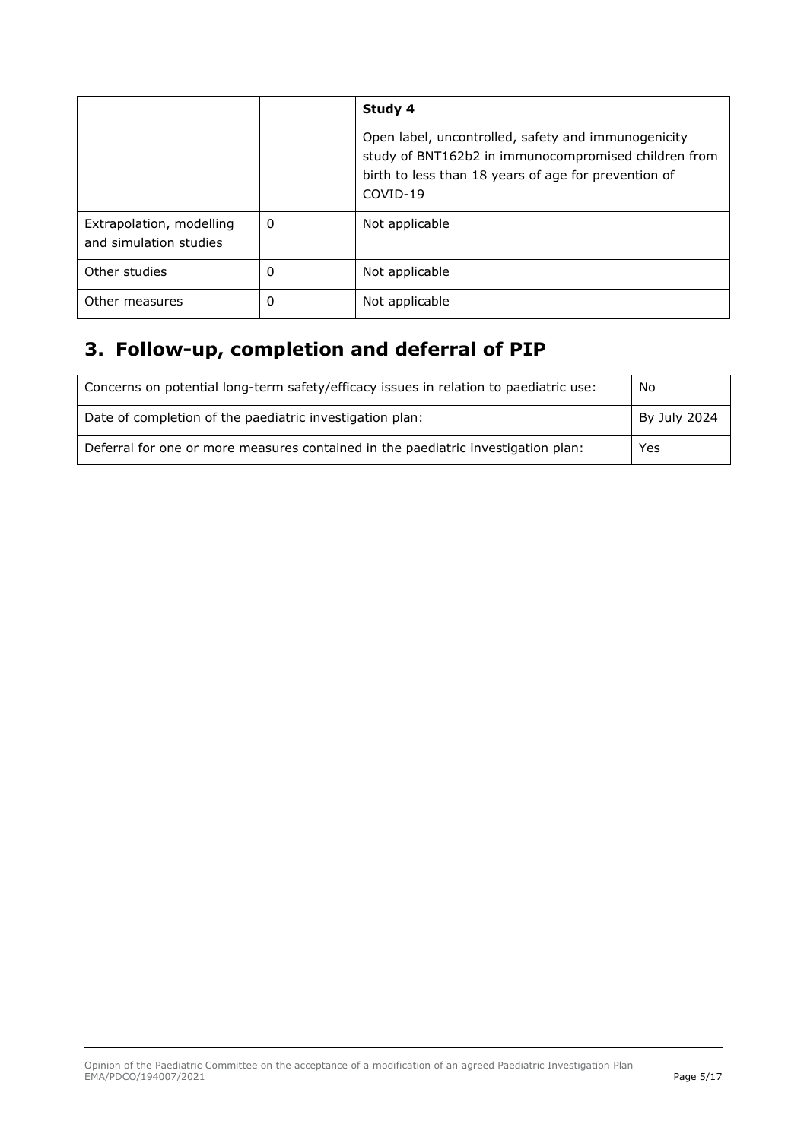|                                                    |   | Study 4                                                                                                                                                                         |  |
|----------------------------------------------------|---|---------------------------------------------------------------------------------------------------------------------------------------------------------------------------------|--|
|                                                    |   | Open label, uncontrolled, safety and immunogenicity<br>study of BNT162b2 in immunocompromised children from<br>birth to less than 18 years of age for prevention of<br>COVID-19 |  |
| Extrapolation, modelling<br>and simulation studies | 0 | Not applicable                                                                                                                                                                  |  |
| Other studies                                      | 0 | Not applicable                                                                                                                                                                  |  |
| Other measures                                     | 0 | Not applicable                                                                                                                                                                  |  |

# **3. Follow-up, completion and deferral of PIP**

| Concerns on potential long-term safety/efficacy issues in relation to paediatric use: | No           |
|---------------------------------------------------------------------------------------|--------------|
| Date of completion of the paediatric investigation plan:                              | By July 2024 |
| Deferral for one or more measures contained in the paediatric investigation plan:     | Yes          |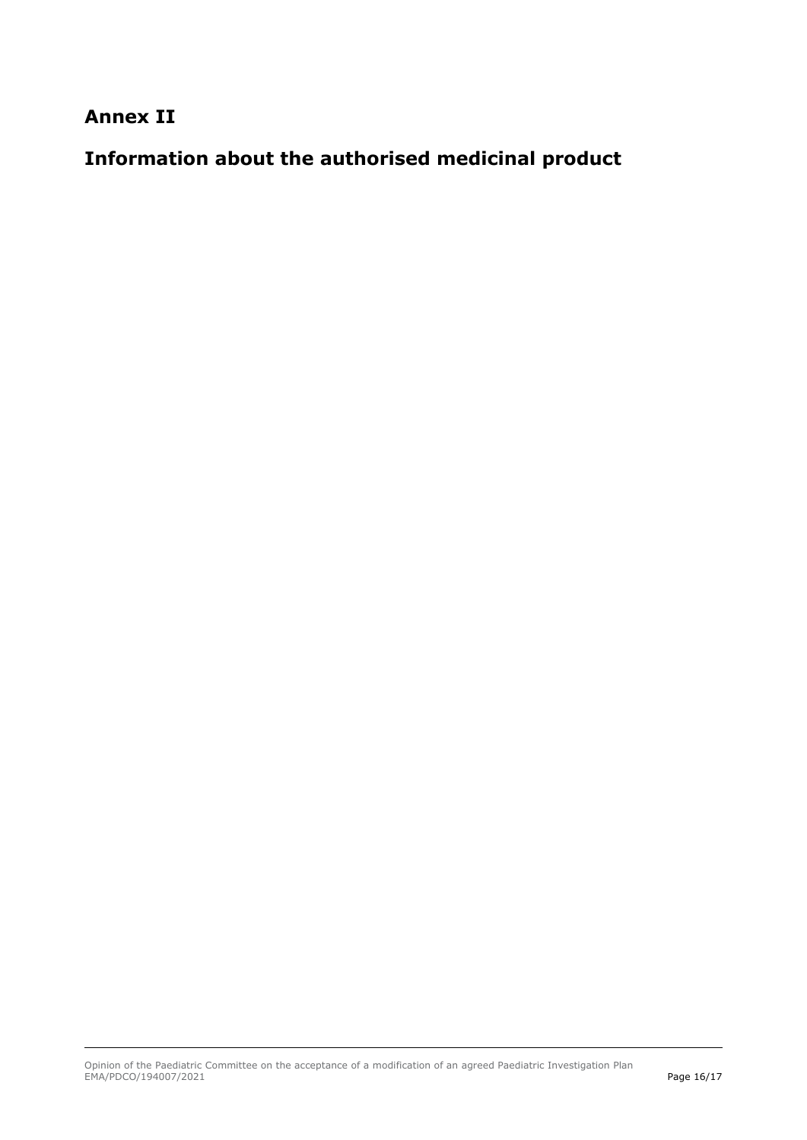# **Annex II**

# **Information about the authorised medicinal product**